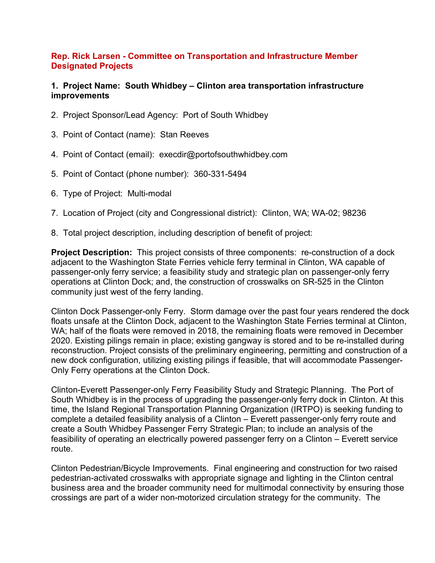## **Rep. Rick Larsen - Committee on Transportation and Infrastructure Member Designated Projects**

## **1. Project Name: South Whidbey – Clinton area transportation infrastructure improvements**

- 2. Project Sponsor/Lead Agency: Port of South Whidbey
- 3. Point of Contact (name): Stan Reeves
- 4. Point of Contact (email): execdir@portofsouthwhidbey.com
- 5. Point of Contact (phone number): 360-331-5494
- 6. Type of Project: Multi-modal
- 7. Location of Project (city and Congressional district): Clinton, WA; WA-02; 98236
- 8. Total project description, including description of benefit of project:

**Project Description:** This project consists of three components: re-construction of a dock adjacent to the Washington State Ferries vehicle ferry terminal in Clinton, WA capable of passenger-only ferry service; a feasibility study and strategic plan on passenger-only ferry operations at Clinton Dock; and, the construction of crosswalks on SR-525 in the Clinton community just west of the ferry landing.

Clinton Dock Passenger-only Ferry. Storm damage over the past four years rendered the dock floats unsafe at the Clinton Dock, adjacent to the Washington State Ferries terminal at Clinton, WA; half of the floats were removed in 2018, the remaining floats were removed in December 2020. Existing pilings remain in place; existing gangway is stored and to be re-installed during reconstruction. Project consists of the preliminary engineering, permitting and construction of a new dock configuration, utilizing existing pilings if feasible, that will accommodate Passenger-Only Ferry operations at the Clinton Dock.

Clinton-Everett Passenger-only Ferry Feasibility Study and Strategic Planning. The Port of South Whidbey is in the process of upgrading the passenger-only ferry dock in Clinton. At this time, the Island Regional Transportation Planning Organization (IRTPO) is seeking funding to complete a detailed feasibility analysis of a Clinton – Everett passenger-only ferry route and create a South Whidbey Passenger Ferry Strategic Plan; to include an analysis of the feasibility of operating an electrically powered passenger ferry on a Clinton – Everett service route.

Clinton Pedestrian/Bicycle Improvements. Final engineering and construction for two raised pedestrian-activated crosswalks with appropriate signage and lighting in the Clinton central business area and the broader community need for multimodal connectivity by ensuring those crossings are part of a wider non-motorized circulation strategy for the community. The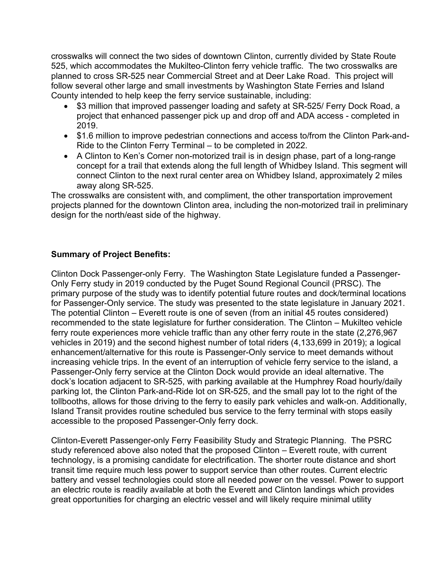crosswalks will connect the two sides of downtown Clinton, currently divided by State Route 525, which accommodates the Mukilteo-Clinton ferry vehicle traffic. The two crosswalks are planned to cross SR-525 near Commercial Street and at Deer Lake Road. This project will follow several other large and small investments by Washington State Ferries and Island County intended to help keep the ferry service sustainable, including:

- \$3 million that improved passenger loading and safety at SR-525/ Ferry Dock Road, a project that enhanced passenger pick up and drop off and ADA access - completed in 2019.
- \$1.6 million to improve pedestrian connections and access to/from the Clinton Park-and-Ride to the Clinton Ferry Terminal – to be completed in 2022.
- A Clinton to Ken's Corner non-motorized trail is in design phase, part of a long-range concept for a trail that extends along the full length of Whidbey Island. This segment will connect Clinton to the next rural center area on Whidbey Island, approximately 2 miles away along SR-525.

The crosswalks are consistent with, and compliment, the other transportation improvement projects planned for the downtown Clinton area, including the non-motorized trail in preliminary design for the north/east side of the highway.

## **Summary of Project Benefits:**

Clinton Dock Passenger-only Ferry.The Washington State Legislature funded a Passenger-Only Ferry study in 2019 conducted by the Puget Sound Regional Council (PRSC). The primary purpose of the study was to identify potential future routes and dock/terminal locations for Passenger-Only service. The study was presented to the state legislature in January 2021. The potential Clinton – Everett route is one of seven (from an initial 45 routes considered) recommended to the state legislature for further consideration. The Clinton – Mukilteo vehicle ferry route experiences more vehicle traffic than any other ferry route in the state (2,276,967 vehicles in 2019) and the second highest number of total riders (4,133,699 in 2019); a logical enhancement/alternative for this route is Passenger-Only service to meet demands without increasing vehicle trips. In the event of an interruption of vehicle ferry service to the island, a Passenger-Only ferry service at the Clinton Dock would provide an ideal alternative. The dock's location adjacent to SR-525, with parking available at the Humphrey Road hourly/daily parking lot, the Clinton Park-and-Ride lot on SR-525, and the small pay lot to the right of the tollbooths, allows for those driving to the ferry to easily park vehicles and walk-on. Additionally, Island Transit provides routine scheduled bus service to the ferry terminal with stops easily accessible to the proposed Passenger-Only ferry dock.

Clinton-Everett Passenger-only Ferry Feasibility Study and Strategic Planning. The PSRC study referenced above also noted that the proposed Clinton – Everett route, with current technology, is a promising candidate for electrification. The shorter route distance and short transit time require much less power to support service than other routes. Current electric battery and vessel technologies could store all needed power on the vessel. Power to support an electric route is readily available at both the Everett and Clinton landings which provides great opportunities for charging an electric vessel and will likely require minimal utility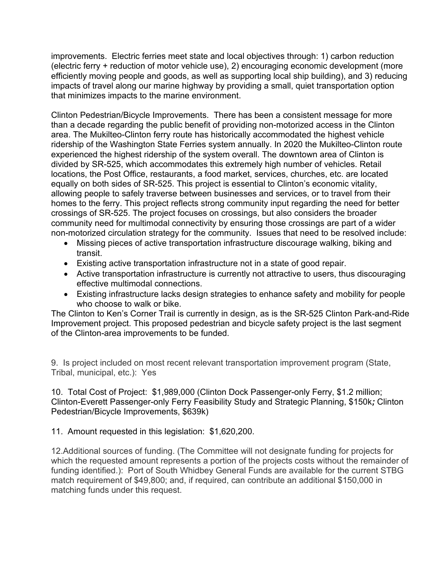improvements. Electric ferries meet state and local objectives through: 1) carbon reduction (electric ferry + reduction of motor vehicle use), 2) encouraging economic development (more efficiently moving people and goods, as well as supporting local ship building), and 3) reducing impacts of travel along our marine highway by providing a small, quiet transportation option that minimizes impacts to the marine environment.

Clinton Pedestrian/Bicycle Improvements. There has been a consistent message for more than a decade regarding the public benefit of providing non-motorized access in the Clinton area. The Mukilteo-Clinton ferry route has historically accommodated the highest vehicle ridership of the Washington State Ferries system annually. In 2020 the Mukilteo-Clinton route experienced the highest ridership of the system overall. The downtown area of Clinton is divided by SR-525, which accommodates this extremely high number of vehicles. Retail locations, the Post Office, restaurants, a food market, services, churches, etc. are located equally on both sides of SR-525. This project is essential to Clinton's economic vitality, allowing people to safely traverse between businesses and services, or to travel from their homes to the ferry. This project reflects strong community input regarding the need for better crossings of SR-525. The project focuses on crossings, but also considers the broader community need for multimodal connectivity by ensuring those crossings are part of a wider non-motorized circulation strategy for the community. Issues that need to be resolved include:

- Missing pieces of active transportation infrastructure discourage walking, biking and transit.
- Existing active transportation infrastructure not in a state of good repair.
- Active transportation infrastructure is currently not attractive to users, thus discouraging effective multimodal connections.
- Existing infrastructure lacks design strategies to enhance safety and mobility for people who choose to walk or bike.

The Clinton to Ken's Corner Trail is currently in design, as is the SR-525 Clinton Park-and-Ride Improvement project. This proposed pedestrian and bicycle safety project is the last segment of the Clinton-area improvements to be funded.

9. Is project included on most recent relevant transportation improvement program (State, Tribal, municipal, etc.): Yes

10. Total Cost of Project: \$1,989,000 (Clinton Dock Passenger-only Ferry, \$1.2 million; Clinton-Everett Passenger-only Ferry Feasibility Study and Strategic Planning, \$150k*;* Clinton Pedestrian/Bicycle Improvements, \$639k)

11. Amount requested in this legislation: \$1,620,200.

12.Additional sources of funding. (The Committee will not designate funding for projects for which the requested amount represents a portion of the projects costs without the remainder of funding identified.): Port of South Whidbey General Funds are available for the current STBG match requirement of \$49,800; and, if required, can contribute an additional \$150,000 in matching funds under this request.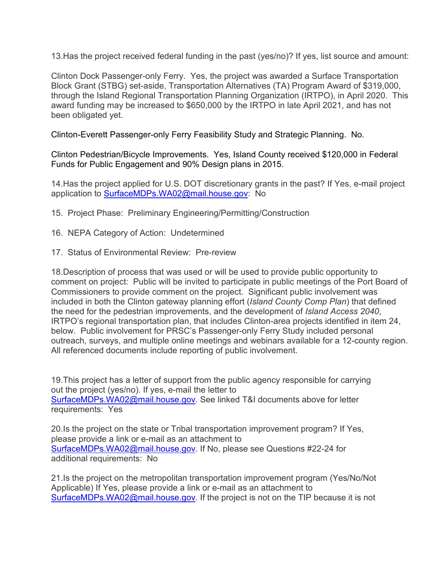13.Has the project received federal funding in the past (yes/no)? If yes, list source and amount:

Clinton Dock Passenger-only Ferry. Yes, the project was awarded a Surface Transportation Block Grant (STBG) set-aside, Transportation Alternatives (TA) Program Award of \$319,000, through the Island Regional Transportation Planning Organization (IRTPO), in April 2020. This award funding may be increased to \$650,000 by the IRTPO in late April 2021, and has not been obligated yet.

Clinton-Everett Passenger-only Ferry Feasibility Study and Strategic Planning. No.

Clinton Pedestrian/Bicycle Improvements. Yes, Island County received \$120,000 in Federal Funds for Public Engagement and 90% Design plans in 2015.

14.Has the project applied for U.S. DOT discretionary grants in the past? If Yes, e-mail project application to [SurfaceMDPs.WA02@mail.house.gov:](mailto:SurfaceMDPs.WA02@mail.house.gov) No

15. Project Phase: Preliminary Engineering/Permitting/Construction

- 16. NEPA Category of Action: Undetermined
- 17. Status of Environmental Review: Pre-review

18.Description of process that was used or will be used to provide public opportunity to comment on project: Public will be invited to participate in public meetings of the Port Board of Commissioners to provide comment on the project. Significant public involvement was included in both the Clinton gateway planning effort (*Island County Comp Plan*) that defined the need for the pedestrian improvements, and the development of *Island Access 2040*, IRTPO's regional transportation plan, that includes Clinton-area projects identified in item 24, below. Public involvement for PRSC's Passenger-only Ferry Study included personal outreach, surveys, and multiple online meetings and webinars available for a 12-county region. All referenced documents include reporting of public involvement.

19.This project has a letter of support from the public agency responsible for carrying out the project (yes/no). If yes, e-mail the letter to [SurfaceMDPs.WA02@mail.house.gov.](mailto:SurfaceMDPs.WA02@mail.house.gov) See linked T&I documents above for letter requirements: Yes

20.Is the project on the state or Tribal transportation improvement program? If Yes, please provide a link or e-mail as an attachment to [SurfaceMDPs.WA02@mail.house.gov.](mailto:SurfaceMDPs.WA02@mail.house.gov) If No, please see Questions #22-24 for additional requirements: No

21.Is the project on the metropolitan transportation improvement program (Yes/No/Not Applicable) If Yes, please provide a link or e-mail as an attachment to [SurfaceMDPs.WA02@mail.house.gov.](mailto:SurfaceMDPs.WA02@mail.house.gov) If the project is not on the TIP because it is not